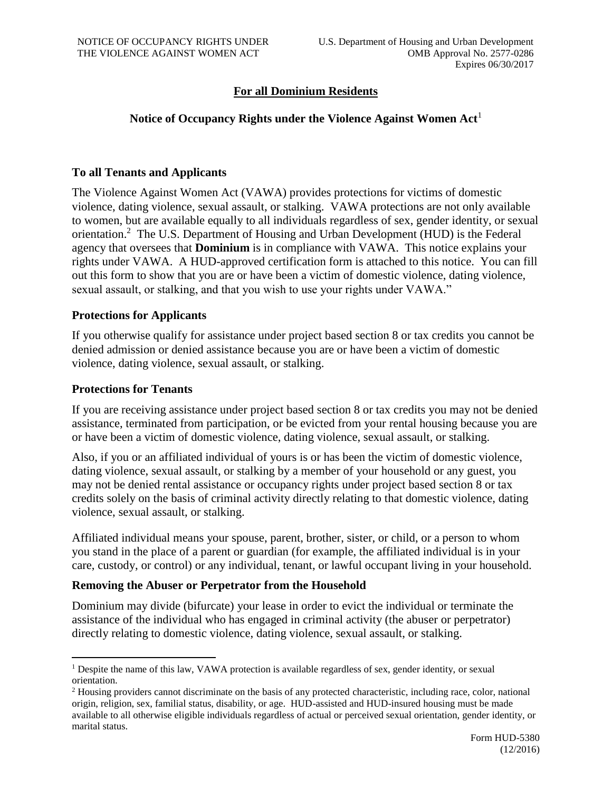# **For all Dominium Residents**

# **Notice of Occupancy Rights under the Violence Against Women Act**<sup>1</sup>

## **To all Tenants and Applicants**

The Violence Against Women Act (VAWA) provides protections for victims of domestic violence, dating violence, sexual assault, or stalking. VAWA protections are not only available to women, but are available equally to all individuals regardless of sex, gender identity, or sexual orientation.<sup>2</sup> The U.S. Department of Housing and Urban Development (HUD) is the Federal agency that oversees that **Dominium** is in compliance with VAWA. This notice explains your rights under VAWA. A HUD-approved certification form is attached to this notice. You can fill out this form to show that you are or have been a victim of domestic violence, dating violence, sexual assault, or stalking, and that you wish to use your rights under VAWA."

### **Protections for Applicants**

If you otherwise qualify for assistance under project based section 8 or tax credits you cannot be denied admission or denied assistance because you are or have been a victim of domestic violence, dating violence, sexual assault, or stalking.

### **Protections for Tenants**

 $\overline{a}$ 

If you are receiving assistance under project based section 8 or tax credits you may not be denied assistance, terminated from participation, or be evicted from your rental housing because you are or have been a victim of domestic violence, dating violence, sexual assault, or stalking.

Also, if you or an affiliated individual of yours is or has been the victim of domestic violence, dating violence, sexual assault, or stalking by a member of your household or any guest, you may not be denied rental assistance or occupancy rights under project based section 8 or tax credits solely on the basis of criminal activity directly relating to that domestic violence, dating violence, sexual assault, or stalking.

Affiliated individual means your spouse, parent, brother, sister, or child, or a person to whom you stand in the place of a parent or guardian (for example, the affiliated individual is in your care, custody, or control) or any individual, tenant, or lawful occupant living in your household.

# **Removing the Abuser or Perpetrator from the Household**

Dominium may divide (bifurcate) your lease in order to evict the individual or terminate the assistance of the individual who has engaged in criminal activity (the abuser or perpetrator) directly relating to domestic violence, dating violence, sexual assault, or stalking.

<sup>&</sup>lt;sup>1</sup> Despite the name of this law, VAWA protection is available regardless of sex, gender identity, or sexual orientation.

<sup>&</sup>lt;sup>2</sup> Housing providers cannot discriminate on the basis of any protected characteristic, including race, color, national origin, religion, sex, familial status, disability, or age. HUD-assisted and HUD-insured housing must be made available to all otherwise eligible individuals regardless of actual or perceived sexual orientation, gender identity, or marital status.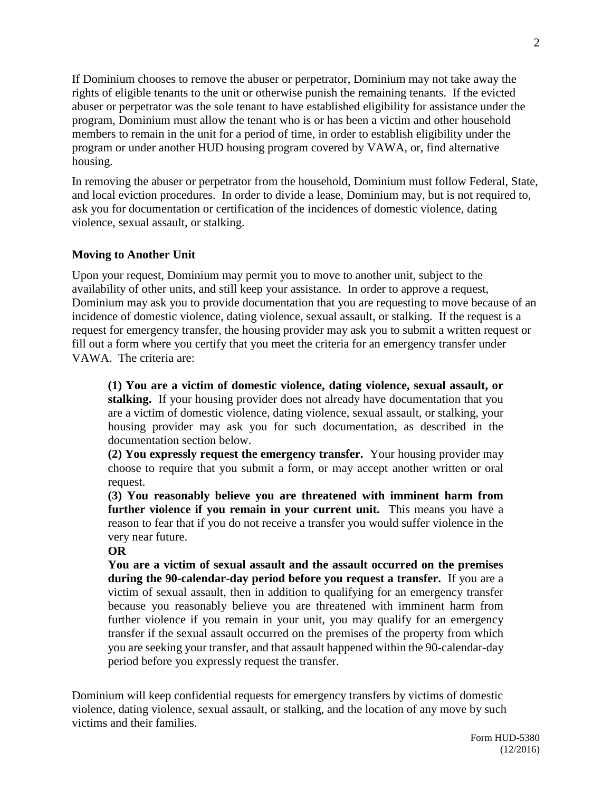If Dominium chooses to remove the abuser or perpetrator, Dominium may not take away the rights of eligible tenants to the unit or otherwise punish the remaining tenants. If the evicted abuser or perpetrator was the sole tenant to have established eligibility for assistance under the program, Dominium must allow the tenant who is or has been a victim and other household members to remain in the unit for a period of time, in order to establish eligibility under the program or under another HUD housing program covered by VAWA, or, find alternative housing.

In removing the abuser or perpetrator from the household, Dominium must follow Federal, State, and local eviction procedures. In order to divide a lease, Dominium may, but is not required to, ask you for documentation or certification of the incidences of domestic violence, dating violence, sexual assault, or stalking.

# **Moving to Another Unit**

Upon your request, Dominium may permit you to move to another unit, subject to the availability of other units, and still keep your assistance. In order to approve a request, Dominium may ask you to provide documentation that you are requesting to move because of an incidence of domestic violence, dating violence, sexual assault, or stalking. If the request is a request for emergency transfer, the housing provider may ask you to submit a written request or fill out a form where you certify that you meet the criteria for an emergency transfer under VAWA. The criteria are:

**(1) You are a victim of domestic violence, dating violence, sexual assault, or stalking.** If your housing provider does not already have documentation that you are a victim of domestic violence, dating violence, sexual assault, or stalking, your housing provider may ask you for such documentation, as described in the documentation section below.

**(2) You expressly request the emergency transfer.** Your housing provider may choose to require that you submit a form, or may accept another written or oral request.

**(3) You reasonably believe you are threatened with imminent harm from further violence if you remain in your current unit.** This means you have a reason to fear that if you do not receive a transfer you would suffer violence in the very near future.

### **OR**

**You are a victim of sexual assault and the assault occurred on the premises during the 90-calendar-day period before you request a transfer.** If you are a victim of sexual assault, then in addition to qualifying for an emergency transfer because you reasonably believe you are threatened with imminent harm from further violence if you remain in your unit, you may qualify for an emergency transfer if the sexual assault occurred on the premises of the property from which you are seeking your transfer, and that assault happened within the 90-calendar-day period before you expressly request the transfer.

Dominium will keep confidential requests for emergency transfers by victims of domestic violence, dating violence, sexual assault, or stalking, and the location of any move by such victims and their families.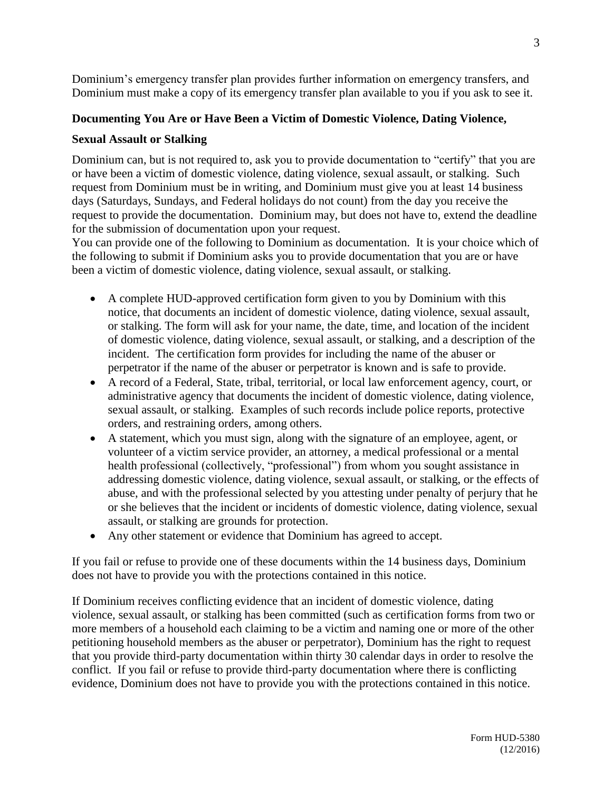Dominium's emergency transfer plan provides further information on emergency transfers, and Dominium must make a copy of its emergency transfer plan available to you if you ask to see it.

# **Documenting You Are or Have Been a Victim of Domestic Violence, Dating Violence,**

## **Sexual Assault or Stalking**

Dominium can, but is not required to, ask you to provide documentation to "certify" that you are or have been a victim of domestic violence, dating violence, sexual assault, or stalking. Such request from Dominium must be in writing, and Dominium must give you at least 14 business days (Saturdays, Sundays, and Federal holidays do not count) from the day you receive the request to provide the documentation. Dominium may, but does not have to, extend the deadline for the submission of documentation upon your request.

You can provide one of the following to Dominium as documentation. It is your choice which of the following to submit if Dominium asks you to provide documentation that you are or have been a victim of domestic violence, dating violence, sexual assault, or stalking.

- A complete HUD-approved certification form given to you by Dominium with this notice, that documents an incident of domestic violence, dating violence, sexual assault, or stalking. The form will ask for your name, the date, time, and location of the incident of domestic violence, dating violence, sexual assault, or stalking, and a description of the incident. The certification form provides for including the name of the abuser or perpetrator if the name of the abuser or perpetrator is known and is safe to provide.
- A record of a Federal, State, tribal, territorial, or local law enforcement agency, court, or administrative agency that documents the incident of domestic violence, dating violence, sexual assault, or stalking. Examples of such records include police reports, protective orders, and restraining orders, among others.
- A statement, which you must sign, along with the signature of an employee, agent, or volunteer of a victim service provider, an attorney, a medical professional or a mental health professional (collectively, "professional") from whom you sought assistance in addressing domestic violence, dating violence, sexual assault, or stalking, or the effects of abuse, and with the professional selected by you attesting under penalty of perjury that he or she believes that the incident or incidents of domestic violence, dating violence, sexual assault, or stalking are grounds for protection.
- Any other statement or evidence that Dominium has agreed to accept.

If you fail or refuse to provide one of these documents within the 14 business days, Dominium does not have to provide you with the protections contained in this notice.

If Dominium receives conflicting evidence that an incident of domestic violence, dating violence, sexual assault, or stalking has been committed (such as certification forms from two or more members of a household each claiming to be a victim and naming one or more of the other petitioning household members as the abuser or perpetrator), Dominium has the right to request that you provide third-party documentation within thirty 30 calendar days in order to resolve the conflict. If you fail or refuse to provide third-party documentation where there is conflicting evidence, Dominium does not have to provide you with the protections contained in this notice.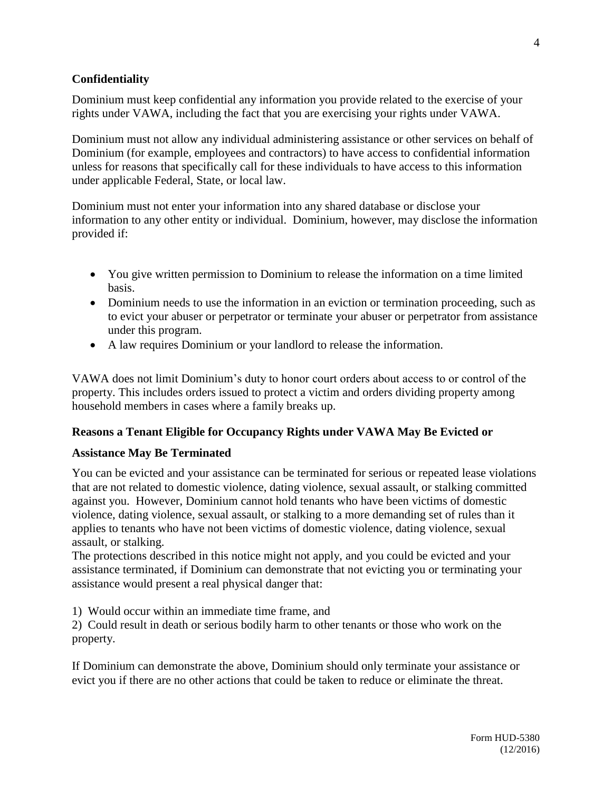# **Confidentiality**

Dominium must keep confidential any information you provide related to the exercise of your rights under VAWA, including the fact that you are exercising your rights under VAWA.

Dominium must not allow any individual administering assistance or other services on behalf of Dominium (for example, employees and contractors) to have access to confidential information unless for reasons that specifically call for these individuals to have access to this information under applicable Federal, State, or local law.

Dominium must not enter your information into any shared database or disclose your information to any other entity or individual. Dominium, however, may disclose the information provided if:

- You give written permission to Dominium to release the information on a time limited basis.
- Dominium needs to use the information in an eviction or termination proceeding, such as to evict your abuser or perpetrator or terminate your abuser or perpetrator from assistance under this program.
- A law requires Dominium or your landlord to release the information.

VAWA does not limit Dominium's duty to honor court orders about access to or control of the property. This includes orders issued to protect a victim and orders dividing property among household members in cases where a family breaks up.

# **Reasons a Tenant Eligible for Occupancy Rights under VAWA May Be Evicted or**

# **Assistance May Be Terminated**

You can be evicted and your assistance can be terminated for serious or repeated lease violations that are not related to domestic violence, dating violence, sexual assault, or stalking committed against you. However, Dominium cannot hold tenants who have been victims of domestic violence, dating violence, sexual assault, or stalking to a more demanding set of rules than it applies to tenants who have not been victims of domestic violence, dating violence, sexual assault, or stalking.

The protections described in this notice might not apply, and you could be evicted and your assistance terminated, if Dominium can demonstrate that not evicting you or terminating your assistance would present a real physical danger that:

1) Would occur within an immediate time frame, and

2) Could result in death or serious bodily harm to other tenants or those who work on the property.

If Dominium can demonstrate the above, Dominium should only terminate your assistance or evict you if there are no other actions that could be taken to reduce or eliminate the threat.